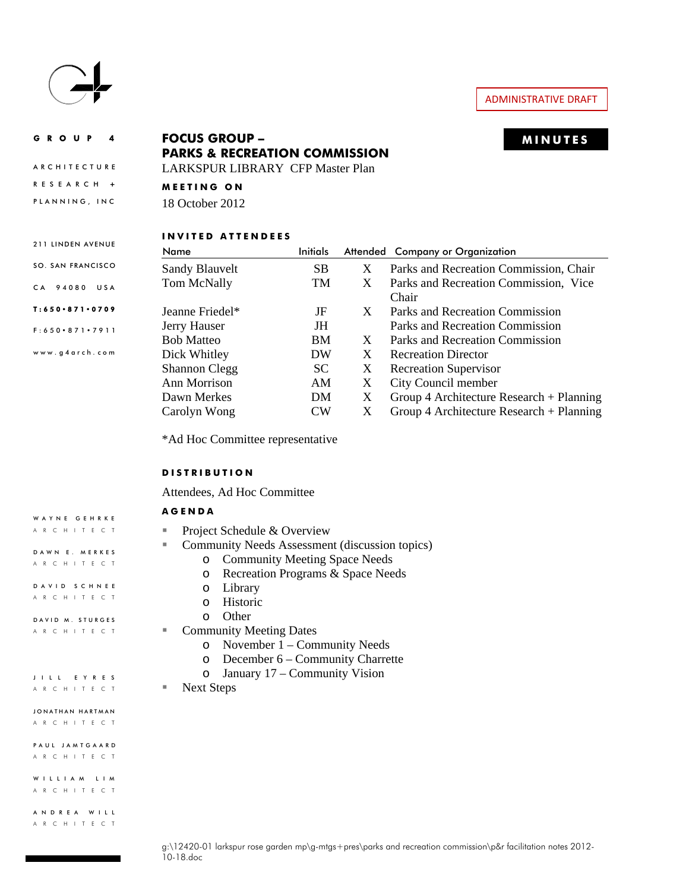

# ADMINISTRATIVE DRAFT

**ARCHITECTURE** 

211 LINDEN AVENUE SO. SAN FRANCISCO

CA 94080 USA T:650 871 0709 F:650 871 7911 www.g4arch.com **PARKS & RECREATION COMMISSION** 

LARKSPUR LIBRARY CFP Master Plan

RESEARCH **+ MEETING ON** 

PLANNING, INC 18 October 2012

# **INVITED ATTENDEES**

| Name                 | Initials  |   | Attended Company or Organization           |
|----------------------|-----------|---|--------------------------------------------|
| Sandy Blauvelt       | <b>SB</b> | X | Parks and Recreation Commission, Chair     |
| Tom McNally          | <b>TM</b> | X | Parks and Recreation Commission, Vice      |
|                      |           |   | Chair                                      |
| Jeanne Friedel*      | JF        | X | Parks and Recreation Commission            |
| Jerry Hauser         | JH        |   | Parks and Recreation Commission            |
| <b>Bob Matteo</b>    | <b>BM</b> | X | Parks and Recreation Commission            |
| Dick Whitley         | DW        | X | <b>Recreation Director</b>                 |
| <b>Shannon Clegg</b> | SC.       | X | <b>Recreation Supervisor</b>               |
| Ann Morrison         | AM        | X | City Council member                        |
| Dawn Merkes          | DM.       | X | Group 4 Architecture Research + Planning   |
| Carolyn Wong         | $\rm CW$  | X | Group 4 Architecture Research $+$ Planning |

\*Ad Hoc Committee representative

## **DISTRIBUTION**

Attendees, Ad Hoc Committee

#### **AGENDA**

- Project Schedule & Overview
- Community Needs Assessment (discussion topics)
	- o Community Meeting Space Needs
	- o Recreation Programs & Space Needs
	- o Library
	- o Historic
	- o Other
- Community Meeting Dates
	- o November 1 Community Needs
	- o December 6 Community Charrette
	- o January 17 Community Vision

■ Next Steps

| JONATHAN HARTMAN |  |  |                   |  |  |  |  |
|------------------|--|--|-------------------|--|--|--|--|
|                  |  |  | A R C H I T E C T |  |  |  |  |

JILL EYRES ARCHITECT

WAYNE GEHRKE ARCHITECT

DAWN E. MERKES ARCHITECT DAVID SCHNEE ARCHITECT DAVID M. STURGES ARCHITECT

PAUL JAMTGAARD ARCHITECT

WILLIAM LIM ARCHITECT

ANDREA WILL ARCHITECT

# GROUP 4 **MINUTES FOCUS GROUP –**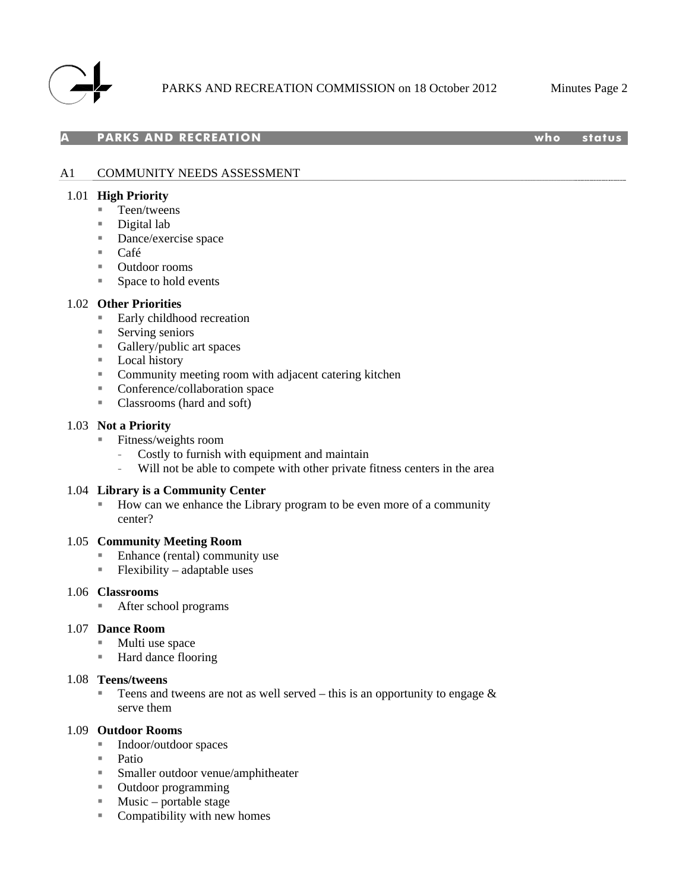

## **PARKS AND RECREATION who status**

# A1 COMMUNITY NEEDS ASSESSMENT

## 1.01 **High Priority**

- Teen/tweens
- Digital lab
- **Dance/exercise space**
- Café
- Outdoor rooms
- Space to hold events

## 1.02 **Other Priorities**

- Early childhood recreation
- **Serving seniors**
- Gallery/public art spaces
- **Local history**
- **EXECOMMUNISY Community meeting room with adjacent catering kitchen**
- **Conference/collaboration space**
- Classrooms (hard and soft)

#### 1.03 **Not a Priority**

- Fitness/weights room
	- Costly to furnish with equipment and maintain
	- Will not be able to compete with other private fitness centers in the area

#### 1.04 **Library is a Community Center**

 How can we enhance the Library program to be even more of a community center?

#### 1.05 **Community Meeting Room**

- Enhance (rental) community use
- $\blacksquare$  Flexibility adaptable uses

#### 1.06 **Classrooms**

After school programs

#### 1.07 **Dance Room**

- Multi use space
- Hard dance flooring

## 1.08 **Teens/tweens**

Teens and tweens are not as well served – this is an opportunity to engage  $\&$ serve them

#### 1.09 **Outdoor Rooms**

- Indoor/outdoor spaces
- Patio
- Smaller outdoor venue/amphitheater
- Outdoor programming
- $\blacksquare$  Music portable stage
- Compatibility with new homes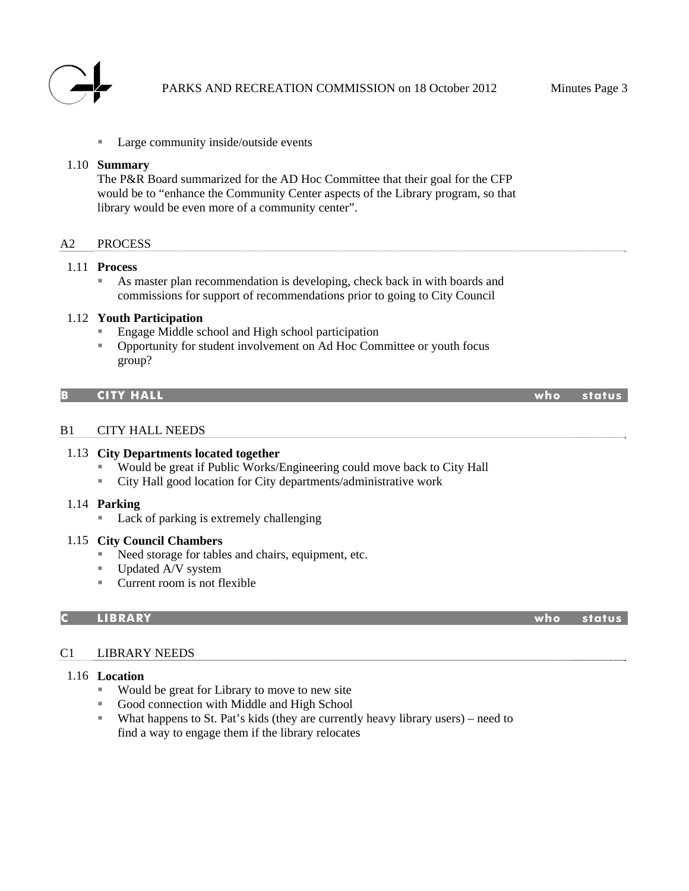

Large community inside/outside events

## 1.10 **Summary**

The P&R Board summarized for the AD Hoc Committee that their goal for the CFP would be to "enhance the Community Center aspects of the Library program, so that library would be even more of a community center".

# A2 PROCESS

## 1.11 **Process**

 As master plan recommendation is developing, check back in with boards and commissions for support of recommendations prior to going to City Council

## 1.12 **Youth Participation**

- Engage Middle school and High school participation
- Opportunity for student involvement on Ad Hoc Committee or youth focus group?

#### **B CITY HALL who status**

#### B1 CITY HALL NEEDS

#### 1.13 **City Departments located together**

- Would be great if Public Works/Engineering could move back to City Hall
- City Hall good location for City departments/administrative work

#### 1.14 **Parking**

■ Lack of parking is extremely challenging

#### 1.15 **City Council Chambers**

- Need storage for tables and chairs, equipment, etc.
- Updated A/V system
- Current room is not flexible

#### **C LIBRARY who status**

#### C1 LIBRARY NEEDS

# 1.16 **Location**

- Would be great for Library to move to new site
- Good connection with Middle and High School
- What happens to St. Pat's kids (they are currently heavy library users) need to find a way to engage them if the library relocates